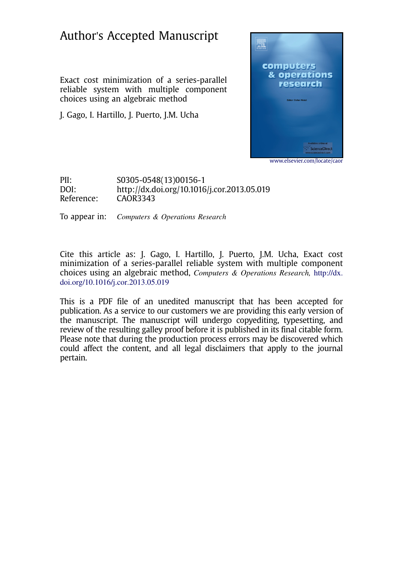# Author's Accepted Manuscript

Exact cost minimization of a series-parallel reliable system with multiple component choices using an algebraic method

J. Gago, I. Hartillo, J. Puerto, J.M. Ucha



www.elsevier.com/locate/caor

PII: S0305-0548(13)00156-1 DOI: http://dx.doi.org/10.1016/j.cor.2013.05.019 Reference: CAOR3343

To appear in: Computers & Operations Research

Cite this article as: J. Gago, I. Hartillo, J. Puerto, J.M. Ucha, Exact cost minimization of a series-parallel reliable system with multiple component choices using an algebraic method, Computers & Operations Research, http://dx. doi.org/10.1016/j.cor.2013.05.019

This is a PDF file of an unedited manuscript that has been accepted for publication. As a service to our customers we are providing this early version of the manuscript. The manuscript will undergo copyediting, typesetting, and review of the resulting galley proof before it is published in its final citable form. Please note that during the production process errors may be discovered which could affect the content, and all legal disclaimers that apply to the journal pertain.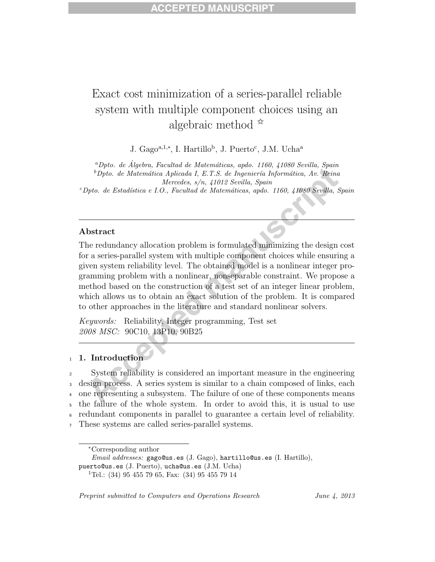## Exact cost minimization of a series-parallel reliable system with multiple component choices using an algebraic method  $\mathbb{\hat{z}}$

J. Gago<sup>a,1,∗</sup>, I. Hartillo<sup>b</sup>, J. Puerto<sup>c</sup>, J.M. Ucha<sup>a</sup>

<sup>a</sup>Dpto. de Álgebra, Facultad de Matemáticas, apdo. 1160, 41080 Sevilla, Spain  ${}^b$ Dpto. de Matemática Aplicada I, E.T.S. de Ingeniería Informática, Av. Reina Mercedes, s/n, 41012 Sevilla, Spain

 $c^c$ Dpto. de Estadística e I.O., Facultad de Matemáticas, apdo. 1160, 41080 Sevilla, Spain

### Abstract

The redundancy allocation problem is formulated minimizing the design cost for a series-parallel system with multiple component choices while ensuring a given system reliability level. The obtained model is a nonlinear integer programming problem with a nonlinear, nonseparable constraint. We propose a method based on the construction of a test set of an integer linear problem, which allows us to obtain an exact solution of the problem. It is compared to other approaches in the literature and standard nonlinear solvers.

Keywords: Reliability, Integer programming, Test set 2008 MSC: 90C10, 13P10, 90B25

#### <sup>1</sup> 1. Introduction

 System reliability is considered an important measure in the engineering design process. A series system is similar to a chain composed of links, each one representing a subsystem. The failure of one of these components means the failure of the whole system. In order to avoid this, it is usual to use redundant components in parallel to guarantee a certain level of reliability. These systems are called series-parallel systems.

Preprint submitted to Computers and Operations Research June 4, 2013

<sup>∗</sup>Corresponding author

Email addresses: gago@us.es (J. Gago), hartillo@us.es (I. Hartillo), puerto@us.es (J. Puerto), ucha@us.es (J.M. Ucha)

<sup>&</sup>lt;sup>1</sup>Tel.:  $(34)$  95 455 79 65, Fax:  $(34)$  95 455 79 14